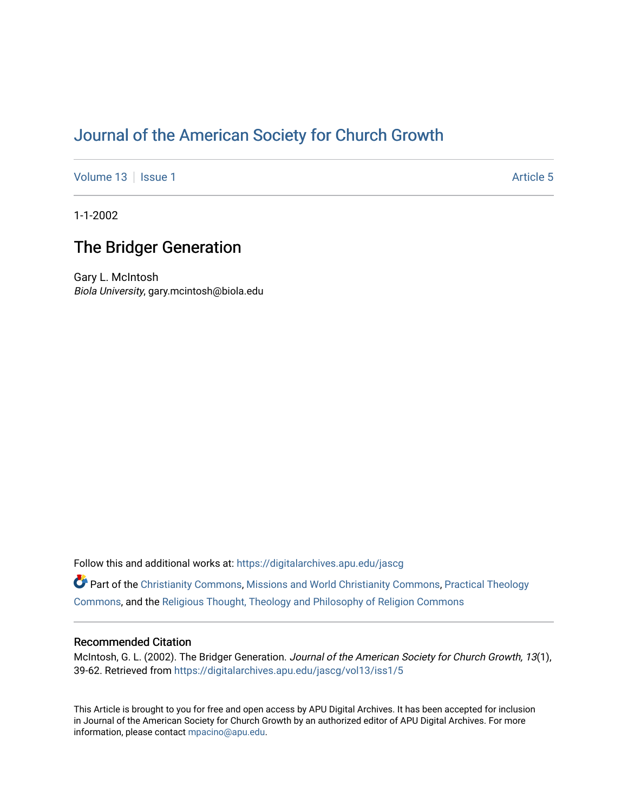# [Journal of the American Society for Church Growth](https://digitalarchives.apu.edu/jascg)

[Volume 13](https://digitalarchives.apu.edu/jascg/vol13) | [Issue 1](https://digitalarchives.apu.edu/jascg/vol13/iss1) Article 5

1-1-2002

## The Bridger Generation

Gary L. McIntosh Biola University, gary.mcintosh@biola.edu

Follow this and additional works at: [https://digitalarchives.apu.edu/jascg](https://digitalarchives.apu.edu/jascg?utm_source=digitalarchives.apu.edu%2Fjascg%2Fvol13%2Fiss1%2F5&utm_medium=PDF&utm_campaign=PDFCoverPages) 

Part of the [Christianity Commons,](http://network.bepress.com/hgg/discipline/1181?utm_source=digitalarchives.apu.edu%2Fjascg%2Fvol13%2Fiss1%2F5&utm_medium=PDF&utm_campaign=PDFCoverPages) [Missions and World Christianity Commons](http://network.bepress.com/hgg/discipline/1187?utm_source=digitalarchives.apu.edu%2Fjascg%2Fvol13%2Fiss1%2F5&utm_medium=PDF&utm_campaign=PDFCoverPages), [Practical Theology](http://network.bepress.com/hgg/discipline/1186?utm_source=digitalarchives.apu.edu%2Fjascg%2Fvol13%2Fiss1%2F5&utm_medium=PDF&utm_campaign=PDFCoverPages)  [Commons](http://network.bepress.com/hgg/discipline/1186?utm_source=digitalarchives.apu.edu%2Fjascg%2Fvol13%2Fiss1%2F5&utm_medium=PDF&utm_campaign=PDFCoverPages), and the [Religious Thought, Theology and Philosophy of Religion Commons](http://network.bepress.com/hgg/discipline/544?utm_source=digitalarchives.apu.edu%2Fjascg%2Fvol13%2Fiss1%2F5&utm_medium=PDF&utm_campaign=PDFCoverPages) 

## Recommended Citation

McIntosh, G. L. (2002). The Bridger Generation. Journal of the American Society for Church Growth, 13(1), 39-62. Retrieved from [https://digitalarchives.apu.edu/jascg/vol13/iss1/5](https://digitalarchives.apu.edu/jascg/vol13/iss1/5?utm_source=digitalarchives.apu.edu%2Fjascg%2Fvol13%2Fiss1%2F5&utm_medium=PDF&utm_campaign=PDFCoverPages)

This Article is brought to you for free and open access by APU Digital Archives. It has been accepted for inclusion in Journal of the American Society for Church Growth by an authorized editor of APU Digital Archives. For more information, please contact [mpacino@apu.edu](mailto:mpacino@apu.edu).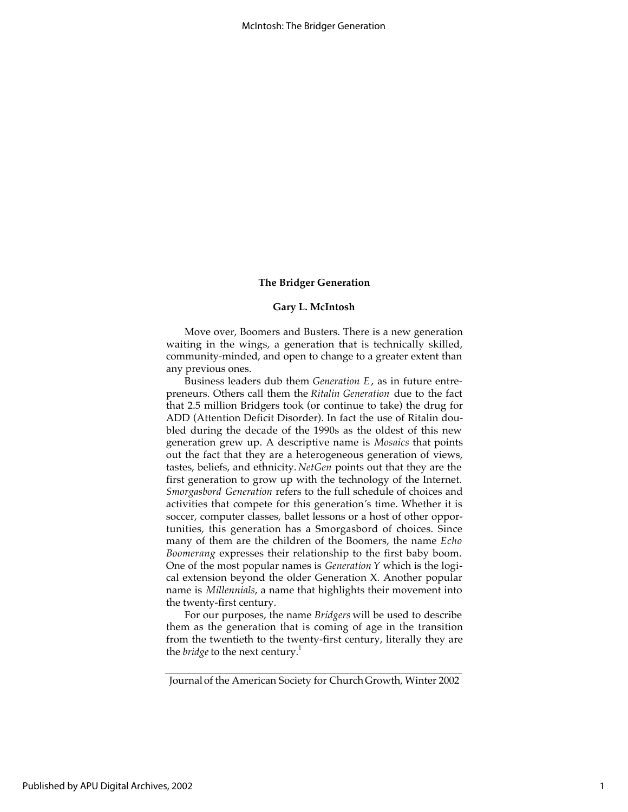#### **Gary L. McIntosh**

Move over, Boomers and Busters. There is a new generation waiting in the wings, a generation that is technically skilled, community-minded, and open to change to a greater extent than any previous ones.

Business leaders dub them *Generation E*, as in future entrepreneurs. Others call them the *Ritalin Generation* due to the fact that 2.5 million Bridgers took (or continue to take) the drug for ADD (Attention Deficit Disorder). In fact the use of Ritalin doubled during the decade of the 1990s as the oldest of this new generation grew up. A descriptive name is *Mosaics* that points out the fact that they are a heterogeneous generation of views, tastes, beliefs, and ethnicity. *NetGen* points out that they are the first generation to grow up with the technology of the Internet. *Smorgasbord Generation* refers to the full schedule of choices and activities that compete for this generation*'*s time. Whether it is soccer, computer classes, ballet lessons or a host of other opportunities, this generation has a Smorgasbord of choices. Since many of them are the children of the Boomers, the name *Echo Boomerang* expresses their relationship to the first baby boom. One of the most popular names is *Generation Y* which is the logical extension beyond the older Generation X. Another popular name is *Millennials*, a name that highlights their movement into the twenty-first century.

For our purposes, the name *Bridgers* will be used to describe them as the generation that is coming of age in the transition from the twentieth to the twenty-first century, literally they are the *bridge* to the next century.<sup>1</sup>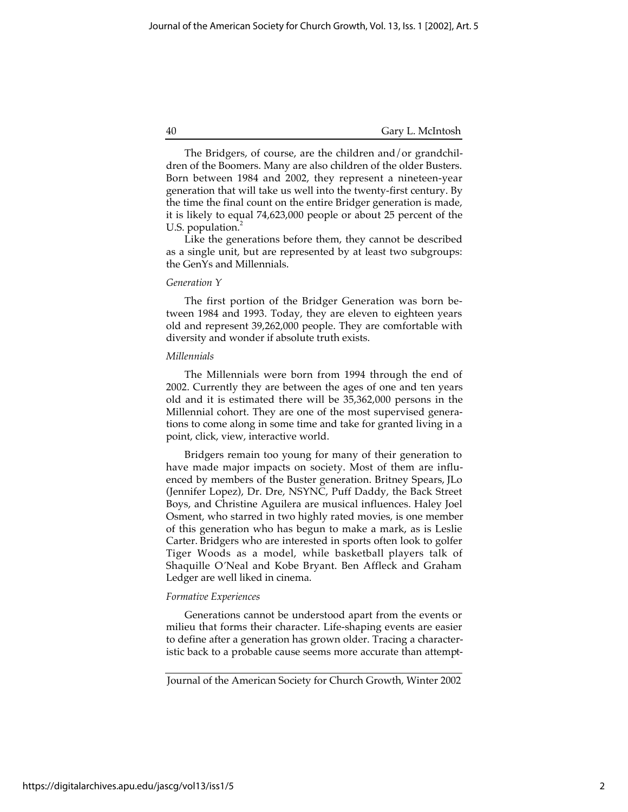The Bridgers, of course, are the children and/or grandchildren of the Boomers. Many are also children of the older Busters. Born between 1984 and 2002, they represent a nineteen-year generation that will take us well into the twenty-first century. By the time the final count on the entire Bridger generation is made, it is likely to equal 74,623,000 people or about 25 percent of the U.S. population.<sup>2</sup>

Like the generations before them, they cannot be described as a single unit, but are represented by at least two subgroups: the GenYs and Millennials.

## *Generation Y*

The first portion of the Bridger Generation was born between 1984 and 1993. Today, they are eleven to eighteen years old and represent 39,262,000 people. They are comfortable with diversity and wonder if absolute truth exists.

## *Millennials*

The Millennials were born from 1994 through the end of 2002. Currently they are between the ages of one and ten years old and it is estimated there will be 35,362,000 persons in the Millennial cohort. They are one of the most supervised generations to come along in some time and take for granted living in a point, click, view, interactive world.

Bridgers remain too young for many of their generation to have made major impacts on society. Most of them are influenced by members of the Buster generation. Britney Spears, JLo (Jennifer Lopez), Dr. Dre, NSYNC, Puff Daddy, the Back Street Boys, and Christine Aguilera are musical influences. Haley Joel Osment, who starred in two highly rated movies, is one member of this generation who has begun to make a mark, as is Leslie Carter. Bridgers who are interested in sports often look to golfer Tiger Woods as a model, while basketball players talk of Shaquille O*'*Neal and Kobe Bryant. Ben Affleck and Graham Ledger are well liked in cinema.

## *Formative Experiences*

Generations cannot be understood apart from the events or milieu that forms their character. Life-shaping events are easier to define after a generation has grown older. Tracing a characteristic back to a probable cause seems more accurate than attempt-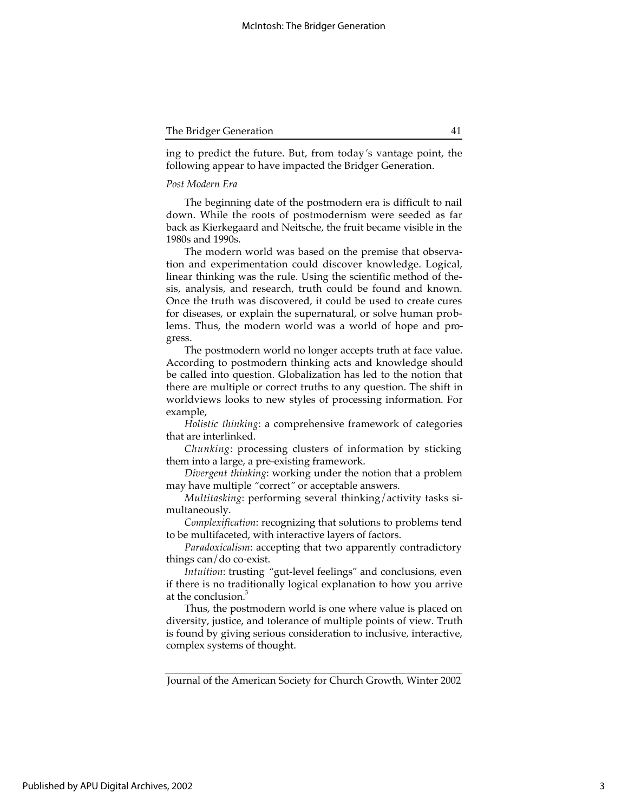| The Bridger Generation |  |
|------------------------|--|
|                        |  |

ing to predict the future. But, from today*'*s vantage point, the following appear to have impacted the Bridger Generation.

## *Post Modern Era*

The beginning date of the postmodern era is difficult to nail down. While the roots of postmodernism were seeded as far back as Kierkegaard and Neitsche, the fruit became visible in the 1980s and 1990s.

The modern world was based on the premise that observation and experimentation could discover knowledge. Logical, linear thinking was the rule. Using the scientific method of thesis, analysis, and research, truth could be found and known. Once the truth was discovered, it could be used to create cures for diseases, or explain the supernatural, or solve human problems. Thus, the modern world was a world of hope and progress.

The postmodern world no longer accepts truth at face value. According to postmodern thinking acts and knowledge should be called into question. Globalization has led to the notion that there are multiple or correct truths to any question. The shift in worldviews looks to new styles of processing information. For example,

*Holistic thinking*: a comprehensive framework of categories that are interlinked.

*Chunking*: processing clusters of information by sticking them into a large, a pre-existing framework.

*Divergent thinking*: working under the notion that a problem may have multiple *"*correct*"* or acceptable answers.

*Multitasking*: performing several thinking/activity tasks simultaneously.

*Complexification*: recognizing that solutions to problems tend to be multifaceted, with interactive layers of factors.

*Paradoxicalism*: accepting that two apparently contradictory things can/do co-exist.

*Intuition*: trusting *"*gut-level feelings*"* and conclusions, even if there is no traditionally logical explanation to how you arrive at the conclusion.<sup>3</sup>

Thus, the postmodern world is one where value is placed on diversity, justice, and tolerance of multiple points of view. Truth is found by giving serious consideration to inclusive, interactive, complex systems of thought.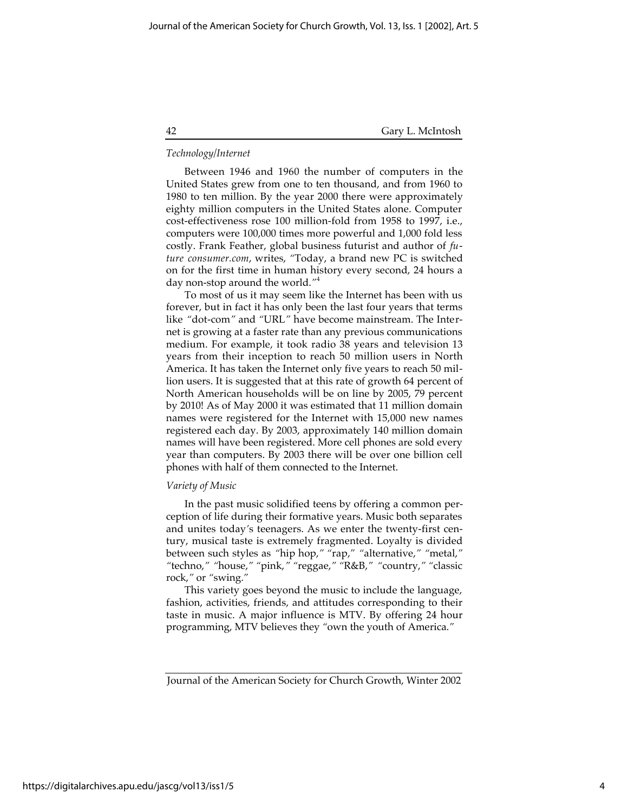## *Technology/Internet*

Between 1946 and 1960 the number of computers in the United States grew from one to ten thousand, and from 1960 to 1980 to ten million. By the year 2000 there were approximately eighty million computers in the United States alone. Computer cost-effectiveness rose 100 million-fold from 1958 to 1997, i.e., computers were 100,000 times more powerful and 1,000 fold less costly. Frank Feather, global business futurist and author of *future consumer.com*, writes, *"*Today, a brand new PC is switched on for the first time in human history every second, 24 hours a day non-stop around the world.*"*<sup>4</sup>

To most of us it may seem like the Internet has been with us forever, but in fact it has only been the last four years that terms like *"*dot-com*"* and *"*URL*"* have become mainstream. The Internet is growing at a faster rate than any previous communications medium. For example, it took radio 38 years and television 13 years from their inception to reach 50 million users in North America. It has taken the Internet only five years to reach 50 million users. It is suggested that at this rate of growth 64 percent of North American households will be on line by 2005, 79 percent by 2010! As of May 2000 it was estimated that 11 million domain names were registered for the Internet with 15,000 new names registered each day. By 2003, approximately 140 million domain names will have been registered. More cell phones are sold every year than computers. By 2003 there will be over one billion cell phones with half of them connected to the Internet.

## *Variety of Music*

In the past music solidified teens by offering a common perception of life during their formative years. Music both separates and unites today*'*s teenagers. As we enter the twenty-first century, musical taste is extremely fragmented. Loyalty is divided between such styles as *"*hip hop,*" "*rap,*" "*alternative,*" "*metal,*" "*techno,*" "*house,*" "*pink,*" "*reggae,*" "*R&B,*" "*country,*" "*classic rock,*"* or *"*swing.*"*

This variety goes beyond the music to include the language, fashion, activities, friends, and attitudes corresponding to their taste in music. A major influence is MTV. By offering 24 hour programming, MTV believes they *"*own the youth of America.*"*

https://digitalarchives.apu.edu/jascg/vol13/iss1/5

Journal of the American Society for Church Growth, Winter 2002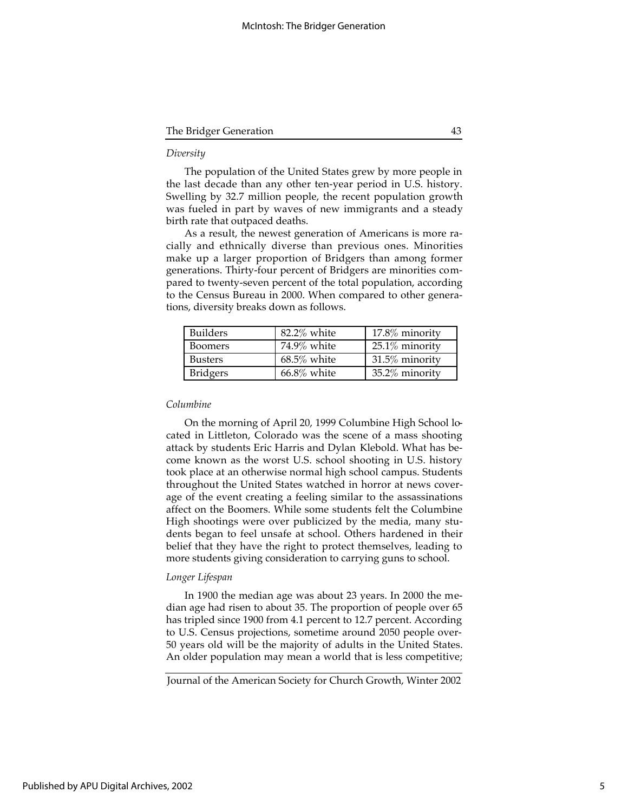| The Bridger Generation |  |
|------------------------|--|
|                        |  |

#### *Diversity*

The population of the United States grew by more people in the last decade than any other ten-year period in U.S. history. Swelling by 32.7 million people, the recent population growth was fueled in part by waves of new immigrants and a steady birth rate that outpaced deaths.

As a result, the newest generation of Americans is more racially and ethnically diverse than previous ones. Minorities make up a larger proportion of Bridgers than among former generations. Thirty-four percent of Bridgers are minorities compared to twenty-seven percent of the total population, according to the Census Bureau in 2000. When compared to other generations, diversity breaks down as follows.

| <b>Builders</b> | 82.2% white    | $17.8\%$ minority |
|-----------------|----------------|-------------------|
| Boomers         | 74.9% white    | $25.1\%$ minority |
| <b>Busters</b>  | $68.5\%$ white | 31.5% minority    |
| <b>Bridgers</b> | $66.8\%$ white | 35.2% minority    |

## *Columbine*

On the morning of April 20, 1999 Columbine High School located in Littleton, Colorado was the scene of a mass shooting attack by students Eric Harris and Dylan Klebold. What has become known as the worst U.S. school shooting in U.S. history took place at an otherwise normal high school campus. Students throughout the United States watched in horror at news coverage of the event creating a feeling similar to the assassinations affect on the Boomers. While some students felt the Columbine High shootings were over publicized by the media, many students began to feel unsafe at school. Others hardened in their belief that they have the right to protect themselves, leading to more students giving consideration to carrying guns to school.

## *Longer Lifespan*

In 1900 the median age was about 23 years. In 2000 the median age had risen to about 35. The proportion of people over 65 has tripled since 1900 from 4.1 percent to 12.7 percent. According to U.S. Census projections, sometime around 2050 people over-50 years old will be the majority of adults in the United States. An older population may mean a world that is less competitive;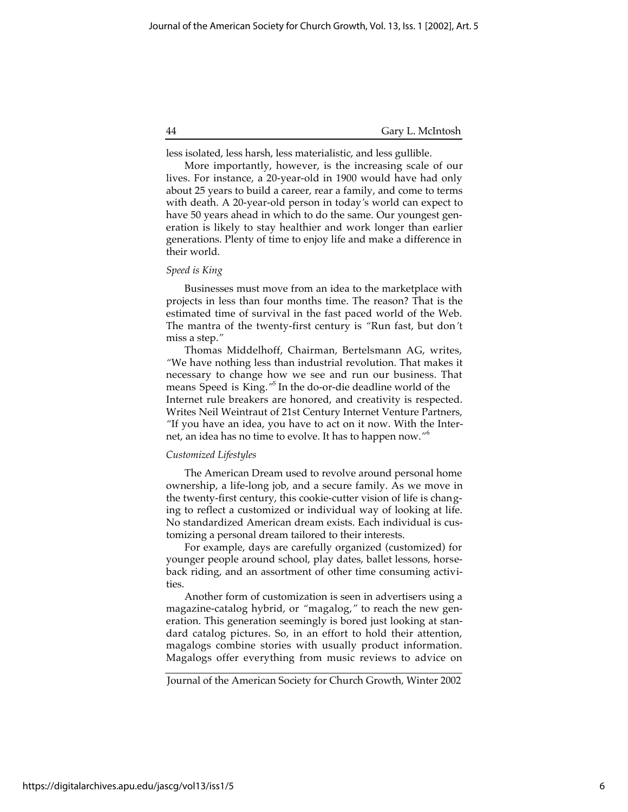less isolated, less harsh, less materialistic, and less gullible.

More importantly, however, is the increasing scale of our lives. For instance, a 20-year-old in 1900 would have had only about 25 years to build a career, rear a family, and come to terms with death. A 20-year-old person in today*'*s world can expect to have 50 years ahead in which to do the same. Our youngest generation is likely to stay healthier and work longer than earlier generations. Plenty of time to enjoy life and make a difference in their world.

## *Speed is King*

Businesses must move from an idea to the marketplace with projects in less than four months time. The reason? That is the estimated time of survival in the fast paced world of the Web. The mantra of the twenty-first century is *"*Run fast, but don*'*t miss a step.*"*

Thomas Middelhoff, Chairman, Bertelsmann AG, writes, *"*We have nothing less than industrial revolution. That makes it necessary to change how we see and run our business. That means Speed is King.*"* 5 In the do-or-die deadline world of the Internet rule breakers are honored, and creativity is respected. Writes Neil Weintraut of 21st Century Internet Venture Partners, *"*If you have an idea, you have to act on it now. With the Internet, an idea has no time to evolve. It has to happen now.*"*<sup>6</sup>

## *Customized Lifestyles*

The American Dream used to revolve around personal home ownership, a life-long job, and a secure family. As we move in the twenty-first century, this cookie-cutter vision of life is changing to reflect a customized or individual way of looking at life. No standardized American dream exists. Each individual is customizing a personal dream tailored to their interests.

For example, days are carefully organized (customized) for younger people around school, play dates, ballet lessons, horseback riding, and an assortment of other time consuming activities.

Another form of customization is seen in advertisers using a magazine-catalog hybrid, or *"*magalog,*"* to reach the new generation. This generation seemingly is bored just looking at standard catalog pictures. So, in an effort to hold their attention, magalogs combine stories with usually product information. Magalogs offer everything from music reviews to advice on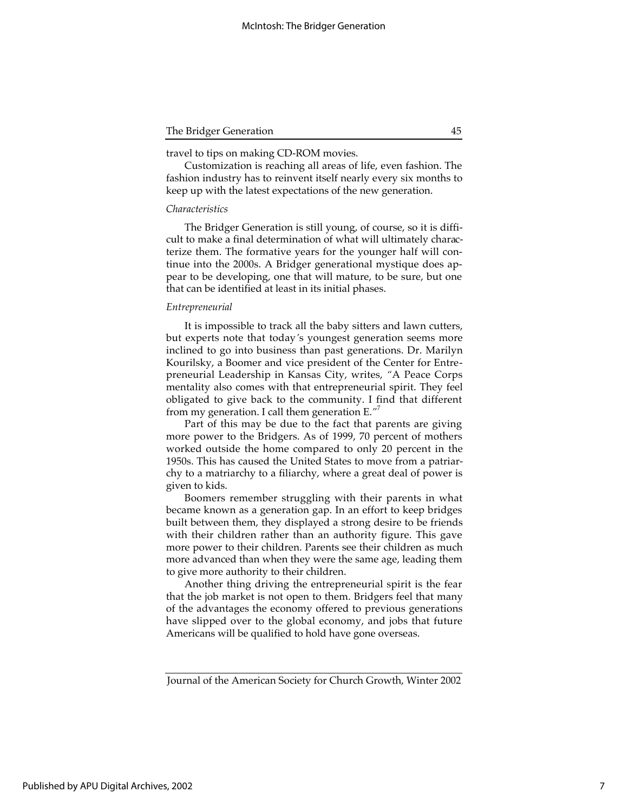travel to tips on making CD-ROM movies.

Customization is reaching all areas of life, even fashion. The fashion industry has to reinvent itself nearly every six months to keep up with the latest expectations of the new generation.

## *Characteristics*

The Bridger Generation is still young, of course, so it is difficult to make a final determination of what will ultimately characterize them. The formative years for the younger half will continue into the 2000s. A Bridger generational mystique does appear to be developing, one that will mature, to be sure, but one that can be identified at least in its initial phases.

#### *Entrepreneurial*

It is impossible to track all the baby sitters and lawn cutters, but experts note that today*'*s youngest generation seems more inclined to go into business than past generations. Dr. Marilyn Kourilsky, a Boomer and vice president of the Center for Entrepreneurial Leadership in Kansas City, writes, *"*A Peace Corps mentality also comes with that entrepreneurial spirit. They feel obligated to give back to the community. I find that different from my generation. I call them generation E.*"*<sup>7</sup>

Part of this may be due to the fact that parents are giving more power to the Bridgers. As of 1999, 70 percent of mothers worked outside the home compared to only 20 percent in the 1950s. This has caused the United States to move from a patriarchy to a matriarchy to a filiarchy, where a great deal of power is given to kids.

Boomers remember struggling with their parents in what became known as a generation gap. In an effort to keep bridges built between them, they displayed a strong desire to be friends with their children rather than an authority figure. This gave more power to their children. Parents see their children as much more advanced than when they were the same age, leading them to give more authority to their children.

Another thing driving the entrepreneurial spirit is the fear that the job market is not open to them. Bridgers feel that many of the advantages the economy offered to previous generations have slipped over to the global economy, and jobs that future Americans will be qualified to hold have gone overseas.

Journal of the American Society for Church Growth, Winter 2002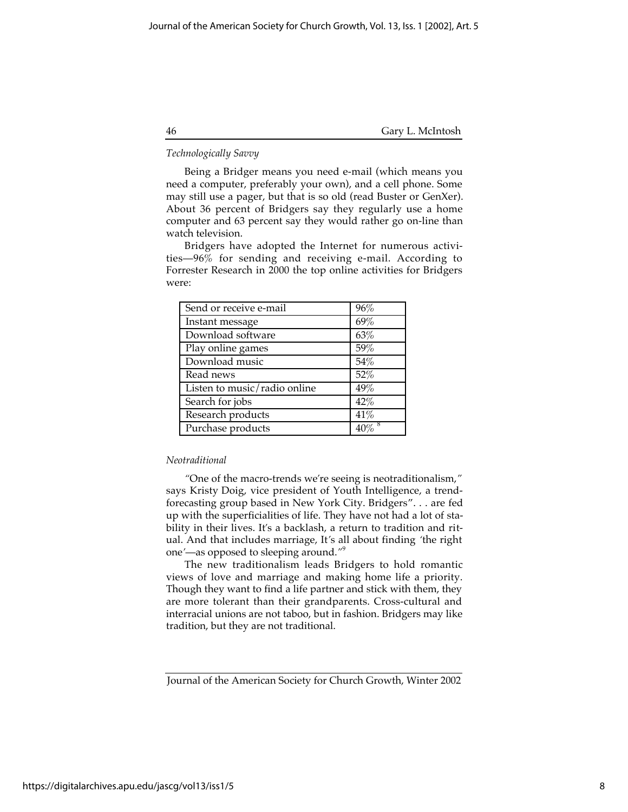## *Technologically Savvy*

Being a Bridger means you need e-mail (which means you need a computer, preferably your own), and a cell phone. Some may still use a pager, but that is so old (read Buster or GenXer). About 36 percent of Bridgers say they regularly use a home computer and 63 percent say they would rather go on-line than watch television.

Bridgers have adopted the Internet for numerous activities—96% for sending and receiving e-mail. According to Forrester Research in 2000 the top online activities for Bridgers were:

| Send or receive e-mail       | 96%    |
|------------------------------|--------|
| Instant message              | 69%    |
| Download software            | 63%    |
| Play online games            | 59%    |
| Download music               | 54%    |
| Read news                    | 52%    |
| Listen to music/radio online | 49%    |
| Search for jobs              | 42%    |
| Research products            | 41%    |
| Purchase products            | $40\%$ |

## *Neotraditional*

*"*One of the macro-trends we*'*re seeing is neotraditionalism,*"* says Kristy Doig, vice president of Youth Intelligence, a trendforecasting group based in New York City. Bridgers". . . are fed up with the superficialities of life. They have not had a lot of stability in their lives. It*'*s a backlash, a return to tradition and ritual. And that includes marriage, It*'*s all about finding *'*the right one*'*—as opposed to sleeping around.*"*<sup>9</sup>

The new traditionalism leads Bridgers to hold romantic views of love and marriage and making home life a priority. Though they want to find a life partner and stick with them, they are more tolerant than their grandparents. Cross-cultural and interracial unions are not taboo, but in fashion. Bridgers may like tradition, but they are not traditional.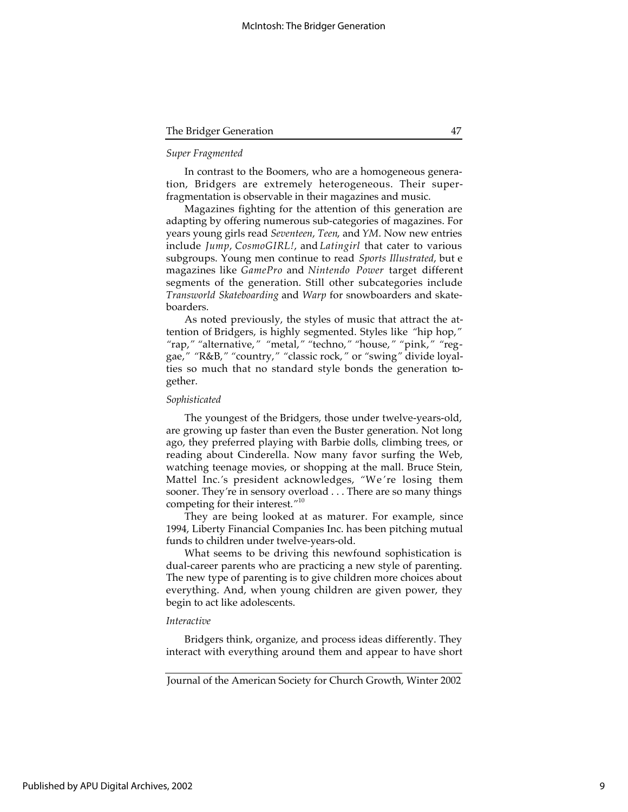| The Bridger Generation |  |  |
|------------------------|--|--|
|------------------------|--|--|

## *Super Fragmented*

In contrast to the Boomers, who are a homogeneous generation, Bridgers are extremely heterogeneous. Their superfragmentation is observable in their magazines and music.

Magazines fighting for the attention of this generation are adapting by offering numerous sub-categories of magazines. For years young girls read *Seventeen*, *Teen*, and *YM*. Now new entries include *Jump*, *CosmoGIRL!*, and *Latingirl* that cater to various subgroups. Young men continue to read *Sports Illustrated*, but e magazines like *GamePro* and *Nintendo Power* target different segments of the generation. Still other subcategories include *Transworld Skateboarding* and *Warp* for snowboarders and skateboarders.

As noted previously, the styles of music that attract the attention of Bridgers, is highly segmented. Styles like *"*hip hop,*" "*rap,*" "*alternative,*" "*metal,*" "*techno,*" "*house,*" "*pink,*" "*reggae,*" "*R&B,*" "*country,*" "*classic rock,*"* or *"*swing*"* divide loyalties so much that no standard style bonds the generation together.

## *Sophisticated*

The youngest of the Bridgers, those under twelve-years-old, are growing up faster than even the Buster generation. Not long ago, they preferred playing with Barbie dolls, climbing trees, or reading about Cinderella. Now many favor surfing the Web, watching teenage movies, or shopping at the mall. Bruce Stein, Mattel Inc.*'*s president acknowledges, *"*We*'*re losing them sooner. They*'*re in sensory overload . . . There are so many things competing for their interest.*"*<sup>10</sup>

They are being looked at as maturer. For example, since 1994, Liberty Financial Companies Inc. has been pitching mutual funds to children under twelve-years-old.

What seems to be driving this newfound sophistication is dual-career parents who are practicing a new style of parenting. The new type of parenting is to give children more choices about everything. And, when young children are given power, they begin to act like adolescents.

## *Interactive*

Bridgers think, organize, and process ideas differently. They interact with everything around them and appear to have short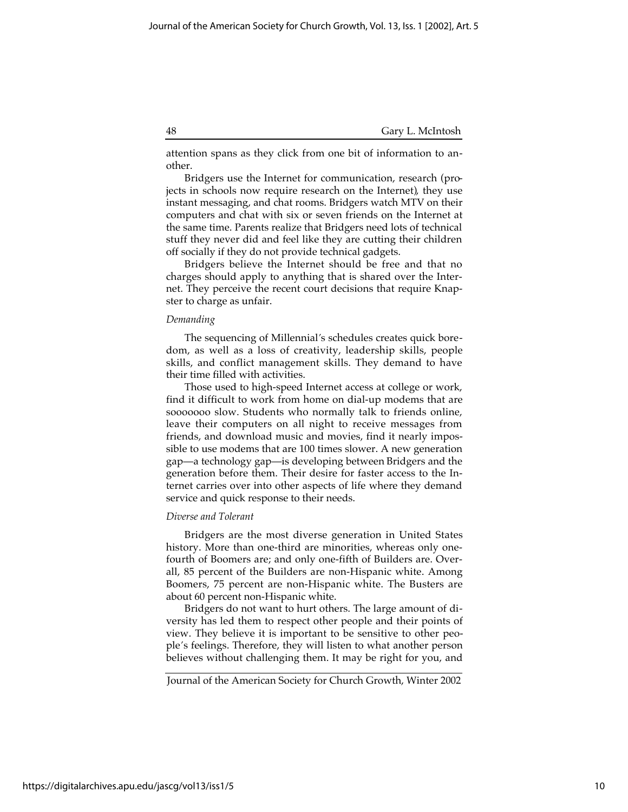attention spans as they click from one bit of information to another.

Bridgers use the Internet for communication, research (projects in schools now require research on the Internet), they use instant messaging, and chat rooms. Bridgers watch MTV on their computers and chat with six or seven friends on the Internet at the same time. Parents realize that Bridgers need lots of technical stuff they never did and feel like they are cutting their children off socially if they do not provide technical gadgets.

Bridgers believe the Internet should be free and that no charges should apply to anything that is shared over the Internet. They perceive the recent court decisions that require Knapster to charge as unfair.

## *Demanding*

The sequencing of Millennial*'*s schedules creates quick boredom, as well as a loss of creativity, leadership skills, people skills, and conflict management skills. They demand to have their time filled with activities.

Those used to high-speed Internet access at college or work, find it difficult to work from home on dial-up modems that are sooooooo slow. Students who normally talk to friends online, leave their computers on all night to receive messages from friends, and download music and movies, find it nearly impossible to use modems that are 100 times slower. A new generation gap—a technology gap—is developing between Bridgers and the generation before them. Their desire for faster access to the Internet carries over into other aspects of life where they demand service and quick response to their needs.

#### *Diverse and Tolerant*

Bridgers are the most diverse generation in United States history. More than one-third are minorities, whereas only onefourth of Boomers are; and only one-fifth of Builders are. Overall, 85 percent of the Builders are non-Hispanic white. Among Boomers, 75 percent are non-Hispanic white. The Busters are about 60 percent non-Hispanic white.

Bridgers do not want to hurt others. The large amount of diversity has led them to respect other people and their points of view. They believe it is important to be sensitive to other people*'*s feelings. Therefore, they will listen to what another person believes without challenging them. It may be right for you, and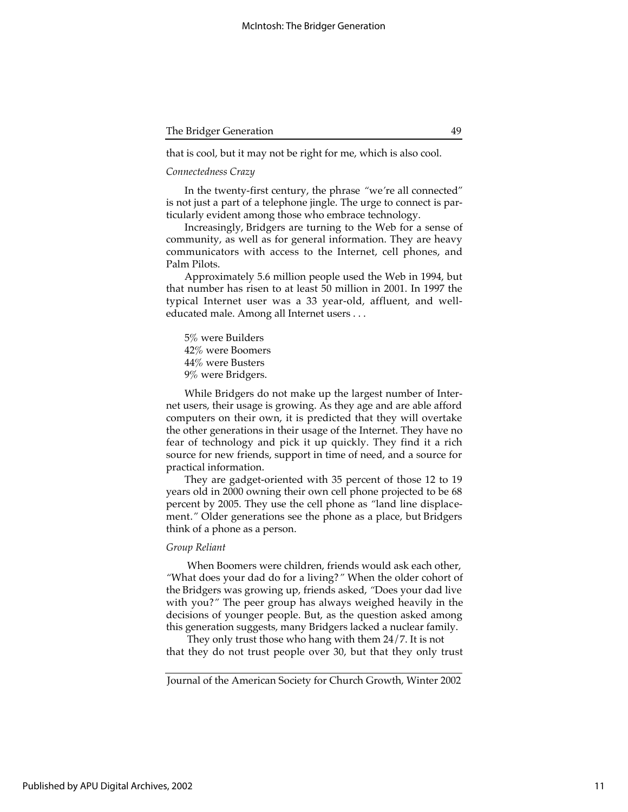that is cool, but it may not be right for me, which is also cool.

## *Connectedness Crazy*

In the twenty-first century, the phrase *"*we*'*re all connected*"* is not just a part of a telephone jingle. The urge to connect is particularly evident among those who embrace technology.

Increasingly, Bridgers are turning to the Web for a sense of community, as well as for general information. They are heavy communicators with access to the Internet, cell phones, and Palm Pilots.

Approximately 5.6 million people used the Web in 1994, but that number has risen to at least 50 million in 2001. In 1997 the typical Internet user was a 33 year-old, affluent, and welleducated male. Among all Internet users . . .

5% were Builders 42% were Boomers 44% were Busters 9% were Bridgers.

While Bridgers do not make up the largest number of Internet users, their usage is growing. As they age and are able afford computers on their own, it is predicted that they will overtake the other generations in their usage of the Internet. They have no fear of technology and pick it up quickly. They find it a rich source for new friends, support in time of need, and a source for practical information.

They are gadget-oriented with 35 percent of those 12 to 19 years old in 2000 owning their own cell phone projected to be 68 percent by 2005. They use the cell phone as *"*land line displacement.*"* Older generations see the phone as a place, but Bridgers think of a phone as a person.

## *Group Reliant*

 When Boomers were children, friends would ask each other, *"*What does your dad do for a living?*"* When the older cohort of the Bridgers was growing up, friends asked, *"*Does your dad live with you?*"* The peer group has always weighed heavily in the decisions of younger people. But, as the question asked among this generation suggests, many Bridgers lacked a nuclear family.

 They only trust those who hang with them 24/7. It is not that they do not trust people over 30, but that they only trust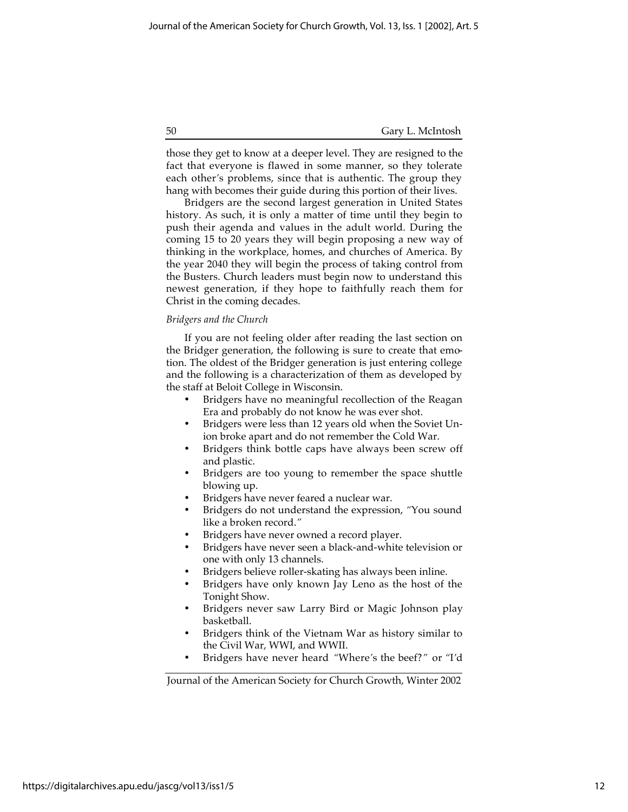those they get to know at a deeper level. They are resigned to the fact that everyone is flawed in some manner, so they tolerate each other*'*s problems, since that is authentic. The group they hang with becomes their guide during this portion of their lives.

Bridgers are the second largest generation in United States history. As such, it is only a matter of time until they begin to push their agenda and values in the adult world. During the coming 15 to 20 years they will begin proposing a new way of thinking in the workplace, homes, and churches of America. By the year 2040 they will begin the process of taking control from the Busters. Church leaders must begin now to understand this newest generation, if they hope to faithfully reach them for Christ in the coming decades.

## *Bridgers and the Church*

If you are not feeling older after reading the last section on the Bridger generation, the following is sure to create that emotion. The oldest of the Bridger generation is just entering college and the following is a characterization of them as developed by the staff at Beloit College in Wisconsin.

> Bridgers have no meaningful recollection of the Reagan Era and probably do not know he was ever shot.

> Bridgers were less than 12 years old when the Soviet Union broke apart and do not remember the Cold War.

> Bridgers think bottle caps have always been screw off and plastic.

> Bridgers are too young to remember the space shuttle blowing up.

Bridgers have never feared a nuclear war.

Bridgers do not understand the expression, *"*You sound like a broken record.*"*

Bridgers have never owned a record player.

Bridgers have never seen a black-and-white television or one with only 13 channels.

Bridgers believe roller-skating has always been inline.

Bridgers have only known Jay Leno as the host of the Tonight Show.

Bridgers never saw Larry Bird or Magic Johnson play basketball.

Bridgers think of the Vietnam War as history similar to the Civil War, WWI, and WWII.

Bridgers have never heard *"*Where*'*s the beef?*"* or *"*I*'*d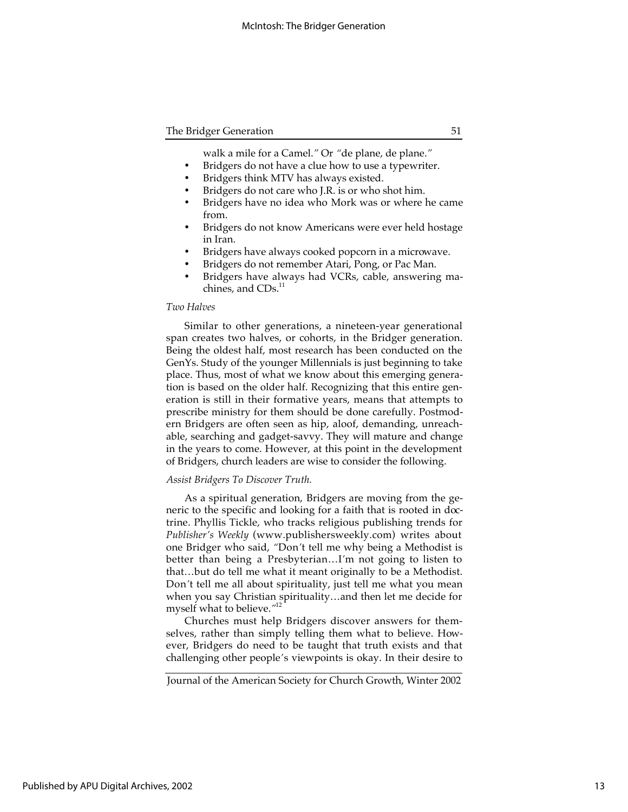walk a mile for a Camel.*"* Or *"*de plane, de plane.*"* Bridgers do not have a clue how to use a typewriter. Bridgers think MTV has always existed. Bridgers do not care who J.R. is or who shot him.

Bridgers have no idea who Mork was or where he came from.

Bridgers do not know Americans were ever held hostage in Iran.

Bridgers have always cooked popcorn in a microwave. Bridgers do not remember Atari, Pong, or Pac Man. Bridgers have always had VCRs, cable, answering machines, and CDs.<sup>11</sup>

## *Two Halves*

Similar to other generations, a nineteen-year generational span creates two halves, or cohorts, in the Bridger generation. Being the oldest half, most research has been conducted on the GenYs. Study of the younger Millennials is just beginning to take place. Thus, most of what we know about this emerging generation is based on the older half. Recognizing that this entire generation is still in their formative years, means that attempts to prescribe ministry for them should be done carefully. Postmodern Bridgers are often seen as hip, aloof, demanding, unreachable, searching and gadget-savvy. They will mature and change in the years to come. However, at this point in the development of Bridgers, church leaders are wise to consider the following.

## *Assist Bridgers To Discover Truth.*

As a spiritual generation, Bridgers are moving from the generic to the specific and looking for a faith that is rooted in doctrine. Phyllis Tickle, who tracks religious publishing trends for *Publisher's Weekly* (www.publishersweekly.com) writes about one Bridger who said, *"*Don*'*t tell me why being a Methodist is better than being a Presbyterian…I*'*m not going to listen to that…but do tell me what it meant originally to be a Methodist. Don*'*t tell me all about spirituality, just tell me what you mean when you say Christian spirituality…and then let me decide for myself what to believe.*"* 12

Churches must help Bridgers discover answers for themselves, rather than simply telling them what to believe. However, Bridgers do need to be taught that truth exists and that challenging other people*'*s viewpoints is okay. In their desire to

Journal of the American Society for Church Growth, Winter 2002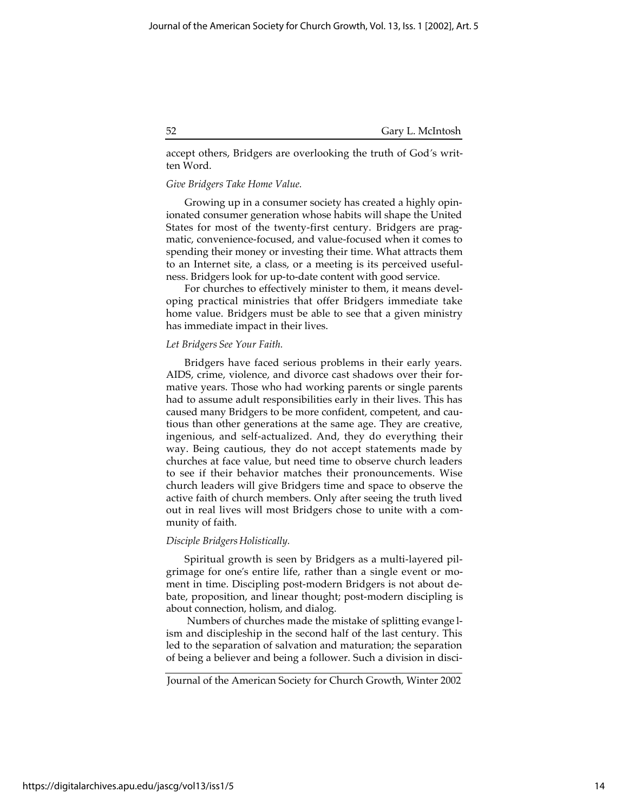accept others, Bridgers are overlooking the truth of God*'*s written Word.

## *Give Bridgers Take Home Value.*

Growing up in a consumer society has created a highly opinionated consumer generation whose habits will shape the United States for most of the twenty-first century. Bridgers are pragmatic, convenience-focused, and value-focused when it comes to spending their money or investing their time. What attracts them to an Internet site, a class, or a meeting is its perceived usefulness. Bridgers look for up-to-date content with good service.

For churches to effectively minister to them, it means developing practical ministries that offer Bridgers immediate take home value. Bridgers must be able to see that a given ministry has immediate impact in their lives.

#### *Let Bridgers See Your Faith.*

Bridgers have faced serious problems in their early years. AIDS, crime, violence, and divorce cast shadows over their formative years. Those who had working parents or single parents had to assume adult responsibilities early in their lives. This has caused many Bridgers to be more confident, competent, and cautious than other generations at the same age. They are creative, ingenious, and self-actualized. And, they do everything their way. Being cautious, they do not accept statements made by churches at face value, but need time to observe church leaders to see if their behavior matches their pronouncements. Wise church leaders will give Bridgers time and space to observe the active faith of church members. Only after seeing the truth lived out in real lives will most Bridgers chose to unite with a community of faith.

## *Disciple Bridgers Holistically.*

Spiritual growth is seen by Bridgers as a multi-layered pilgrimage for one*'*s entire life, rather than a single event or moment in time. Discipling post-modern Bridgers is not about debate, proposition, and linear thought; post-modern discipling is about connection, holism, and dialog.

 Numbers of churches made the mistake of splitting evange lism and discipleship in the second half of the last century. This led to the separation of salvation and maturation; the separation of being a believer and being a follower. Such a division in disci-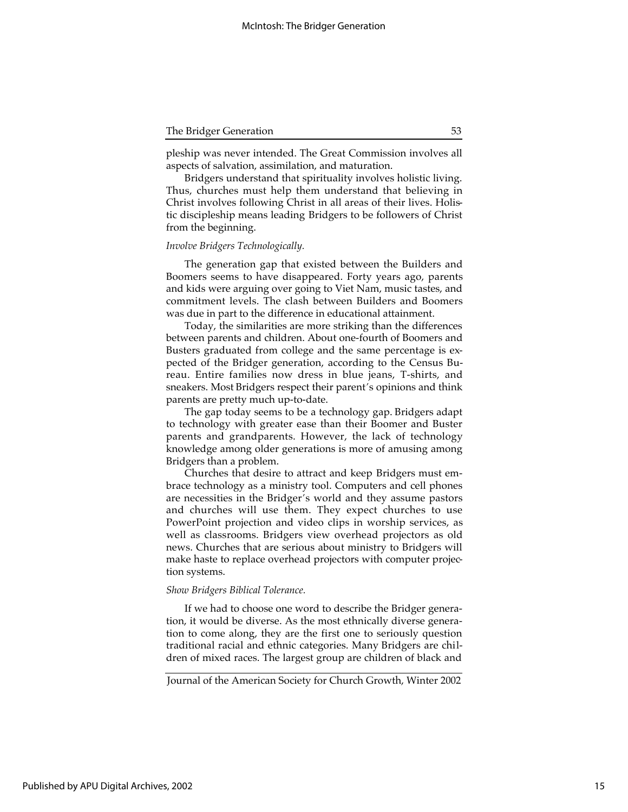pleship was never intended. The Great Commission involves all aspects of salvation, assimilation, and maturation.

Bridgers understand that spirituality involves holistic living. Thus, churches must help them understand that believing in Christ involves following Christ in all areas of their lives. Holistic discipleship means leading Bridgers to be followers of Christ from the beginning.

#### *Involve Bridgers Technologically.*

The generation gap that existed between the Builders and Boomers seems to have disappeared. Forty years ago, parents and kids were arguing over going to Viet Nam, music tastes, and commitment levels. The clash between Builders and Boomers was due in part to the difference in educational attainment.

Today, the similarities are more striking than the differences between parents and children. About one-fourth of Boomers and Busters graduated from college and the same percentage is expected of the Bridger generation, according to the Census Bureau. Entire families now dress in blue jeans, T-shirts, and sneakers. Most Bridgers respect their parent*'*s opinions and think parents are pretty much up-to-date.

The gap today seems to be a technology gap. Bridgers adapt to technology with greater ease than their Boomer and Buster parents and grandparents. However, the lack of technology knowledge among older generations is more of amusing among Bridgers than a problem.

Churches that desire to attract and keep Bridgers must embrace technology as a ministry tool. Computers and cell phones are necessities in the Bridger*'*s world and they assume pastors and churches will use them. They expect churches to use PowerPoint projection and video clips in worship services, as well as classrooms. Bridgers view overhead projectors as old news. Churches that are serious about ministry to Bridgers will make haste to replace overhead projectors with computer projection systems.

## *Show Bridgers Biblical Tolerance.*

If we had to choose one word to describe the Bridger generation, it would be diverse. As the most ethnically diverse generation to come along, they are the first one to seriously question traditional racial and ethnic categories. Many Bridgers are children of mixed races. The largest group are children of black and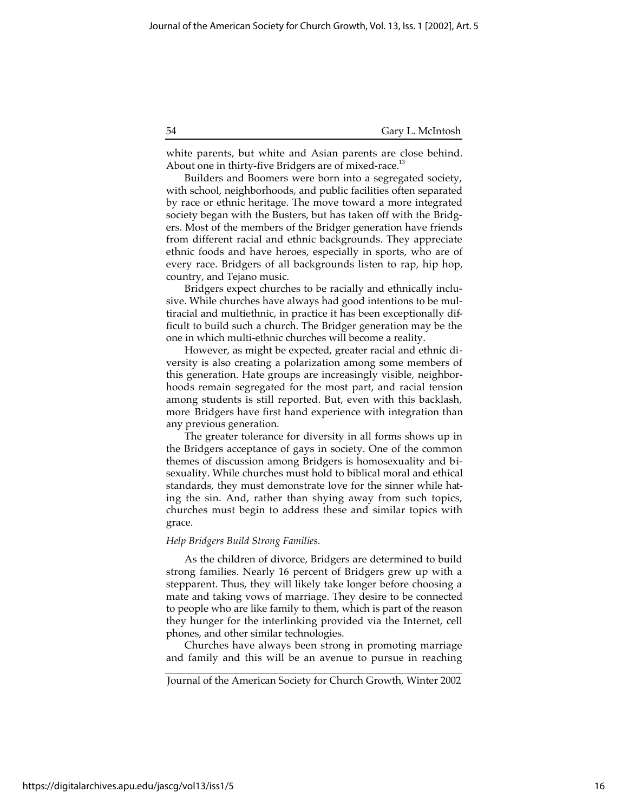white parents, but white and Asian parents are close behind. About one in thirty-five Bridgers are of mixed-race.<sup>13</sup>

Builders and Boomers were born into a segregated society, with school, neighborhoods, and public facilities often separated by race or ethnic heritage. The move toward a more integrated society began with the Busters, but has taken off with the Bridgers. Most of the members of the Bridger generation have friends from different racial and ethnic backgrounds. They appreciate ethnic foods and have heroes, especially in sports, who are of every race. Bridgers of all backgrounds listen to rap, hip hop, country, and Tejano music.

Bridgers expect churches to be racially and ethnically inclusive. While churches have always had good intentions to be multiracial and multiethnic, in practice it has been exceptionally difficult to build such a church. The Bridger generation may be the one in which multi-ethnic churches will become a reality.

However, as might be expected, greater racial and ethnic diversity is also creating a polarization among some members of this generation. Hate groups are increasingly visible, neighborhoods remain segregated for the most part, and racial tension among students is still reported. But, even with this backlash, more Bridgers have first hand experience with integration than any previous generation.

The greater tolerance for diversity in all forms shows up in the Bridgers acceptance of gays in society. One of the common themes of discussion among Bridgers is homosexuality and bisexuality. While churches must hold to biblical moral and ethical standards, they must demonstrate love for the sinner while hating the sin. And, rather than shying away from such topics, churches must begin to address these and similar topics with grace.

#### *Help Bridgers Build Strong Families.*

As the children of divorce, Bridgers are determined to build strong families. Nearly 16 percent of Bridgers grew up with a stepparent. Thus, they will likely take longer before choosing a mate and taking vows of marriage. They desire to be connected to people who are like family to them, which is part of the reason they hunger for the interlinking provided via the Internet, cell phones, and other similar technologies.

Churches have always been strong in promoting marriage and family and this will be an avenue to pursue in reaching

Journal of the American Society for Church Growth, Winter 2002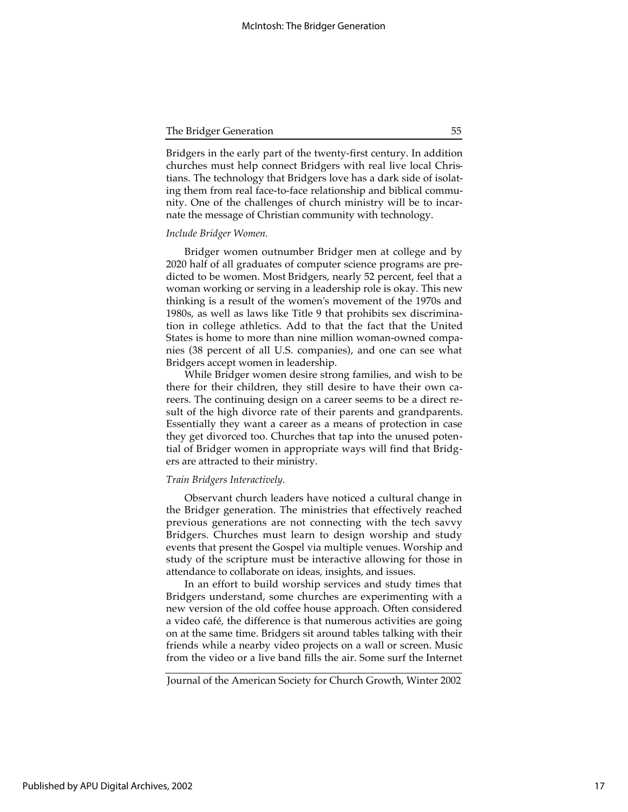Bridgers in the early part of the twenty-first century. In addition churches must help connect Bridgers with real live local Christians. The technology that Bridgers love has a dark side of isolating them from real face-to-face relationship and biblical community. One of the challenges of church ministry will be to incarnate the message of Christian community with technology.

## *Include Bridger Women.*

Bridger women outnumber Bridger men at college and by 2020 half of all graduates of computer science programs are predicted to be women. Most Bridgers, nearly 52 percent, feel that a woman working or serving in a leadership role is okay. This new thinking is a result of the women*'*s movement of the 1970s and 1980s, as well as laws like Title 9 that prohibits sex discrimination in college athletics. Add to that the fact that the United States is home to more than nine million woman-owned companies (38 percent of all U.S. companies), and one can see what Bridgers accept women in leadership.

While Bridger women desire strong families, and wish to be there for their children, they still desire to have their own careers. The continuing design on a career seems to be a direct result of the high divorce rate of their parents and grandparents. Essentially they want a career as a means of protection in case they get divorced too. Churches that tap into the unused potential of Bridger women in appropriate ways will find that Bridgers are attracted to their ministry.

## *Train Bridgers Interactively.*

Observant church leaders have noticed a cultural change in the Bridger generation. The ministries that effectively reached previous generations are not connecting with the tech savvy Bridgers. Churches must learn to design worship and study events that present the Gospel via multiple venues. Worship and study of the scripture must be interactive allowing for those in attendance to collaborate on ideas, insights, and issues.

In an effort to build worship services and study times that Bridgers understand, some churches are experimenting with a new version of the old coffee house approach. Often considered a video café, the difference is that numerous activities are going on at the same time. Bridgers sit around tables talking with their friends while a nearby video projects on a wall or screen. Music from the video or a live band fills the air. Some surf the Internet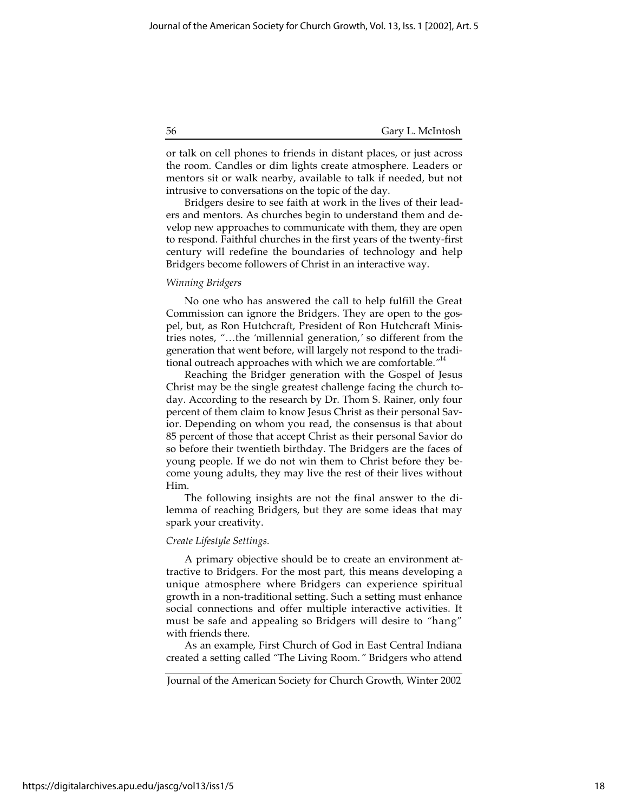or talk on cell phones to friends in distant places, or just across the room. Candles or dim lights create atmosphere. Leaders or mentors sit or walk nearby, available to talk if needed, but not intrusive to conversations on the topic of the day.

Bridgers desire to see faith at work in the lives of their leaders and mentors. As churches begin to understand them and develop new approaches to communicate with them, they are open to respond. Faithful churches in the first years of the twenty-first century will redefine the boundaries of technology and help Bridgers become followers of Christ in an interactive way.

## *Winning Bridgers*

No one who has answered the call to help fulfill the Great Commission can ignore the Bridgers. They are open to the gospel, but, as Ron Hutchcraft, President of Ron Hutchcraft Ministries notes, *"*…the *'*millennial generation,*'* so different from the generation that went before, will largely not respond to the traditional outreach approaches with which we are comfortable.*"* 14

Reaching the Bridger generation with the Gospel of Jesus Christ may be the single greatest challenge facing the church today. According to the research by Dr. Thom S. Rainer, only four percent of them claim to know Jesus Christ as their personal Savior. Depending on whom you read, the consensus is that about 85 percent of those that accept Christ as their personal Savior do so before their twentieth birthday. The Bridgers are the faces of young people. If we do not win them to Christ before they become young adults, they may live the rest of their lives without Him.

The following insights are not the final answer to the dilemma of reaching Bridgers, but they are some ideas that may spark your creativity.

## *Create Lifestyle Settings.*

A primary objective should be to create an environment attractive to Bridgers. For the most part, this means developing a unique atmosphere where Bridgers can experience spiritual growth in a non-traditional setting. Such a setting must enhance social connections and offer multiple interactive activities. It must be safe and appealing so Bridgers will desire to *"*hang*"* with friends there.

As an example, First Church of God in East Central Indiana created a setting called *"*The Living Room.*"* Bridgers who attend

https://digitalarchives.apu.edu/jascg/vol13/iss1/5

Journal of the American Society for Church Growth, Winter 2002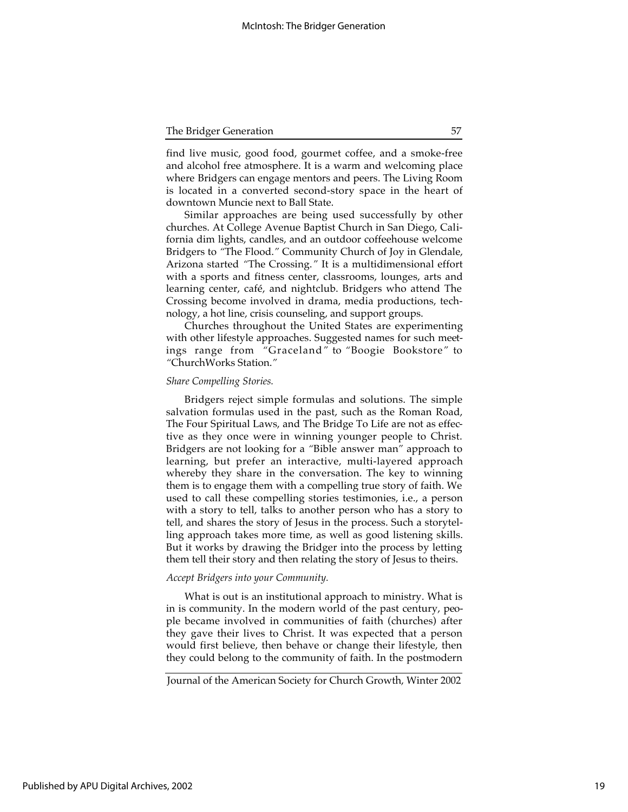find live music, good food, gourmet coffee, and a smoke-free and alcohol free atmosphere. It is a warm and welcoming place where Bridgers can engage mentors and peers. The Living Room is located in a converted second-story space in the heart of downtown Muncie next to Ball State.

Similar approaches are being used successfully by other churches. At College Avenue Baptist Church in San Diego, California dim lights, candles, and an outdoor coffeehouse welcome Bridgers to *"*The Flood.*"* Community Church of Joy in Glendale, Arizona started *"*The Crossing.*"* It is a multidimensional effort with a sports and fitness center, classrooms, lounges, arts and learning center, café, and nightclub. Bridgers who attend The Crossing become involved in drama, media productions, technology, a hot line, crisis counseling, and support groups.

Churches throughout the United States are experimenting with other lifestyle approaches. Suggested names for such meetings range from *"*Graceland*"* to *"*Boogie Bookstore*"* to *"*ChurchWorks Station.*"*

## *Share Compelling Stories.*

Bridgers reject simple formulas and solutions. The simple salvation formulas used in the past, such as the Roman Road, The Four Spiritual Laws, and The Bridge To Life are not as effective as they once were in winning younger people to Christ. Bridgers are not looking for a *"*Bible answer man*"* approach to learning, but prefer an interactive, multi-layered approach whereby they share in the conversation. The key to winning them is to engage them with a compelling true story of faith. We used to call these compelling stories testimonies, i.e., a person with a story to tell, talks to another person who has a story to tell, and shares the story of Jesus in the process. Such a storytelling approach takes more time, as well as good listening skills. But it works by drawing the Bridger into the process by letting them tell their story and then relating the story of Jesus to theirs.

#### *Accept Bridgers into your Community.*

What is out is an institutional approach to ministry. What is in is community. In the modern world of the past century, people became involved in communities of faith (churches) after they gave their lives to Christ. It was expected that a person would first believe, then behave or change their lifestyle, then they could belong to the community of faith. In the postmodern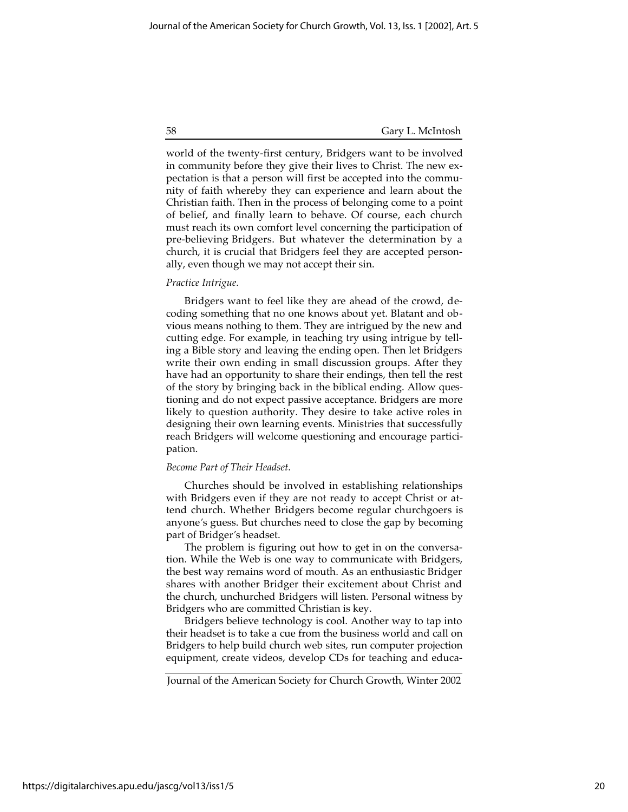world of the twenty-first century, Bridgers want to be involved in community before they give their lives to Christ. The new expectation is that a person will first be accepted into the community of faith whereby they can experience and learn about the Christian faith. Then in the process of belonging come to a point of belief, and finally learn to behave. Of course, each church must reach its own comfort level concerning the participation of pre-believing Bridgers. But whatever the determination by a church, it is crucial that Bridgers feel they are accepted personally, even though we may not accept their sin.

## *Practice Intrigue.*

Bridgers want to feel like they are ahead of the crowd, decoding something that no one knows about yet. Blatant and obvious means nothing to them. They are intrigued by the new and cutting edge. For example, in teaching try using intrigue by telling a Bible story and leaving the ending open. Then let Bridgers write their own ending in small discussion groups. After they have had an opportunity to share their endings, then tell the rest of the story by bringing back in the biblical ending. Allow questioning and do not expect passive acceptance. Bridgers are more likely to question authority. They desire to take active roles in designing their own learning events. Ministries that successfully reach Bridgers will welcome questioning and encourage participation.

## *Become Part of Their Headset.*

Churches should be involved in establishing relationships with Bridgers even if they are not ready to accept Christ or attend church. Whether Bridgers become regular churchgoers is anyone*'*s guess. But churches need to close the gap by becoming part of Bridger*'*s headset.

The problem is figuring out how to get in on the conversation. While the Web is one way to communicate with Bridgers, the best way remains word of mouth. As an enthusiastic Bridger shares with another Bridger their excitement about Christ and the church, unchurched Bridgers will listen. Personal witness by Bridgers who are committed Christian is key.

Bridgers believe technology is cool. Another way to tap into their headset is to take a cue from the business world and call on Bridgers to help build church web sites, run computer projection equipment, create videos, develop CDs for teaching and educa-

Journal of the American Society for Church Growth, Winter 2002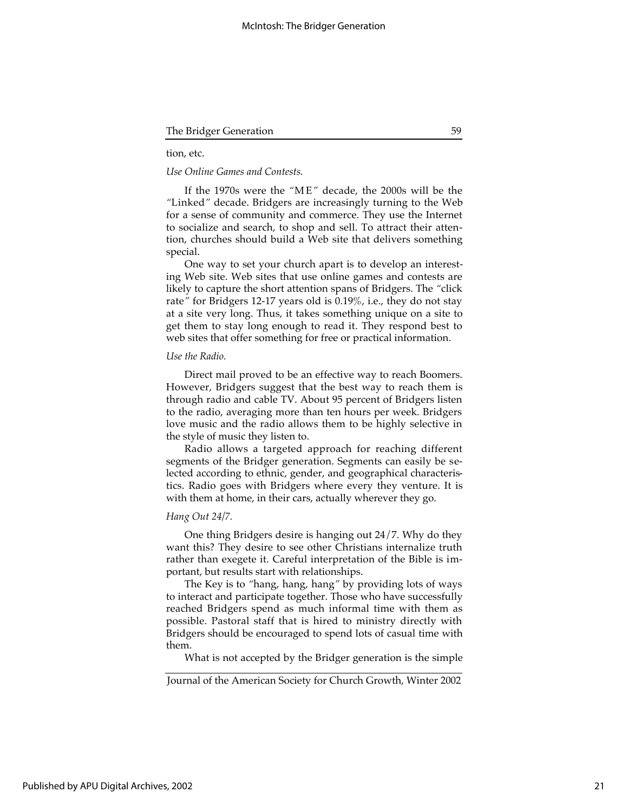## tion, etc.

#### *Use Online Games and Contests.*

If the 1970s were the *"*M E*"* decade, the 2000s will be the *"*Linked*"* decade. Bridgers are increasingly turning to the Web for a sense of community and commerce. They use the Internet to socialize and search, to shop and sell. To attract their attention, churches should build a Web site that delivers something special.

One way to set your church apart is to develop an interesting Web site. Web sites that use online games and contests are likely to capture the short attention spans of Bridgers. The *"*click rate*"* for Bridgers 12-17 years old is 0.19%, i.e., they do not stay at a site very long. Thus, it takes something unique on a site to get them to stay long enough to read it. They respond best to web sites that offer something for free or practical information.

## *Use the Radio.*

Direct mail proved to be an effective way to reach Boomers. However, Bridgers suggest that the best way to reach them is through radio and cable TV. About 95 percent of Bridgers listen to the radio, averaging more than ten hours per week. Bridgers love music and the radio allows them to be highly selective in the style of music they listen to.

Radio allows a targeted approach for reaching different segments of the Bridger generation. Segments can easily be selected according to ethnic, gender, and geographical characteristics. Radio goes with Bridgers where every they venture. It is with them at home, in their cars, actually wherever they go.

### *Hang Out 24/7.*

One thing Bridgers desire is hanging out 24/7. Why do they want this? They desire to see other Christians internalize truth rather than exegete it. Careful interpretation of the Bible is important, but results start with relationships.

The Key is to *"*hang, hang, hang*"* by providing lots of ways to interact and participate together. Those who have successfully reached Bridgers spend as much informal time with them as possible. Pastoral staff that is hired to ministry directly with Bridgers should be encouraged to spend lots of casual time with them.

What is not accepted by the Bridger generation is the simple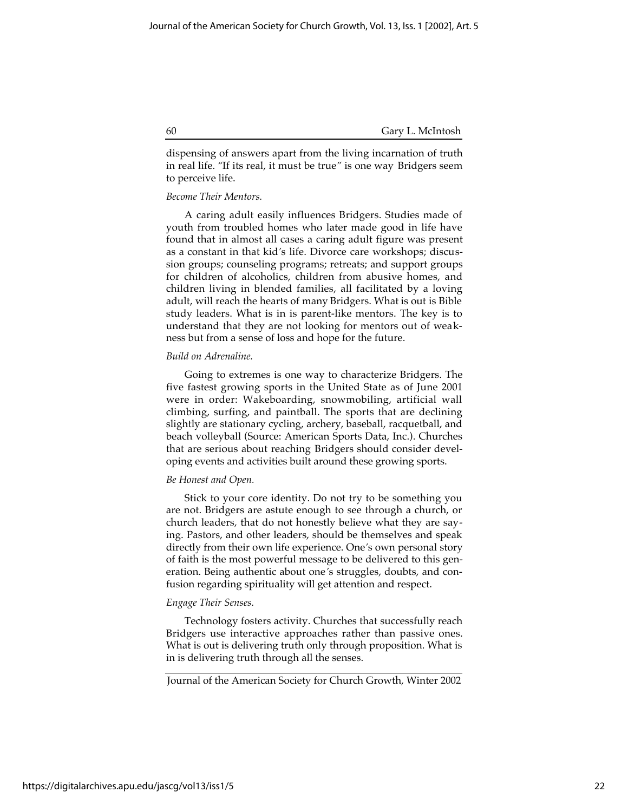dispensing of answers apart from the living incarnation of truth in real life. *"*If its real, it must be true*"* is one way Bridgers seem to perceive life.

## *Become Their Mentors.*

A caring adult easily influences Bridgers. Studies made of youth from troubled homes who later made good in life have found that in almost all cases a caring adult figure was present as a constant in that kid*'*s life. Divorce care workshops; discussion groups; counseling programs; retreats; and support groups for children of alcoholics, children from abusive homes, and children living in blended families, all facilitated by a loving adult, will reach the hearts of many Bridgers. What is out is Bible study leaders. What is in is parent-like mentors. The key is to understand that they are not looking for mentors out of weakness but from a sense of loss and hope for the future.

## *Build on Adrenaline.*

Going to extremes is one way to characterize Bridgers. The five fastest growing sports in the United State as of June 2001 were in order: Wakeboarding, snowmobiling, artificial wall climbing, surfing, and paintball. The sports that are declining slightly are stationary cycling, archery, baseball, racquetball, and beach volleyball (Source: American Sports Data, Inc.). Churches that are serious about reaching Bridgers should consider developing events and activities built around these growing sports.

## *Be Honest and Open.*

Stick to your core identity. Do not try to be something you are not. Bridgers are astute enough to see through a church, or church leaders, that do not honestly believe what they are saying. Pastors, and other leaders, should be themselves and speak directly from their own life experience. One*'*s own personal story of faith is the most powerful message to be delivered to this generation. Being authentic about one*'*s struggles, doubts, and confusion regarding spirituality will get attention and respect.

## *Engage Their Senses.*

Technology fosters activity. Churches that successfully reach Bridgers use interactive approaches rather than passive ones. What is out is delivering truth only through proposition. What is in is delivering truth through all the senses.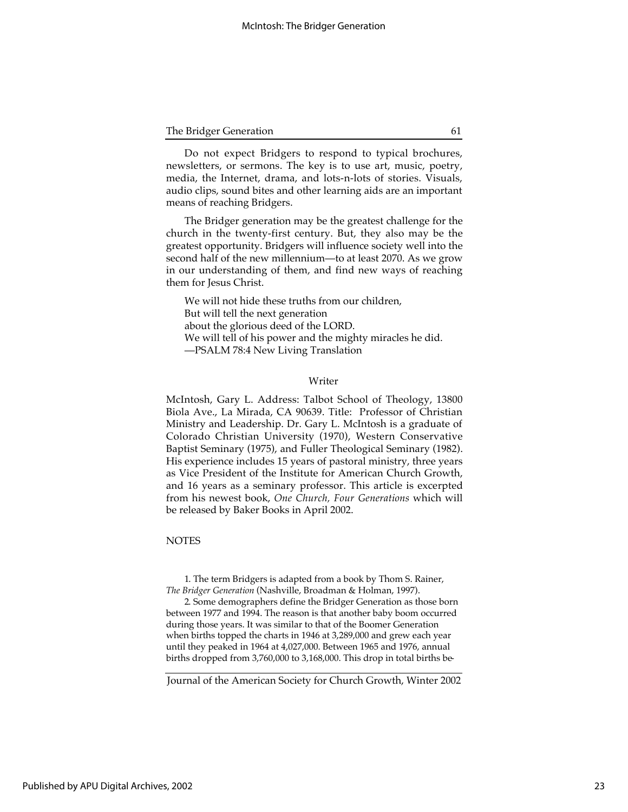| The Bridger Generation |  |
|------------------------|--|
|------------------------|--|

Do not expect Bridgers to respond to typical brochures, newsletters, or sermons. The key is to use art, music, poetry, media, the Internet, drama, and lots-n-lots of stories. Visuals, audio clips, sound bites and other learning aids are an important means of reaching Bridgers.

The Bridger generation may be the greatest challenge for the church in the twenty-first century. But, they also may be the greatest opportunity. Bridgers will influence society well into the second half of the new millennium—to at least 2070. As we grow in our understanding of them, and find new ways of reaching them for Jesus Christ.

We will not hide these truths from our children, But will tell the next generation about the glorious deed of the LORD. We will tell of his power and the mighty miracles he did. —PSALM 78:4 New Living Translation

#### Writer

McIntosh, Gary L. Address: Talbot School of Theology, 13800 Biola Ave., La Mirada, CA 90639. Title: Professor of Christian Ministry and Leadership. Dr. Gary L. McIntosh is a graduate of Colorado Christian University (1970), Western Conservative Baptist Seminary (1975), and Fuller Theological Seminary (1982). His experience includes 15 years of pastoral ministry, three years as Vice President of the Institute for American Church Growth, and 16 years as a seminary professor. This article is excerpted from his newest book, *One Church, Four Generations* which will be released by Baker Books in April 2002.

## **NOTES**

1. The term Bridgers is adapted from a book by Thom S. Rainer, *The Bridger Generation* (Nashville, Broadman & Holman, 1997).

2. Some demographers define the Bridger Generation as those born between 1977 and 1994. The reason is that another baby boom occurred during those years. It was similar to that of the Boomer Generation when births topped the charts in 1946 at 3,289,000 and grew each year until they peaked in 1964 at 4,027,000. Between 1965 and 1976, annual births dropped from 3,760,000 to 3,168,000. This drop in total births be-